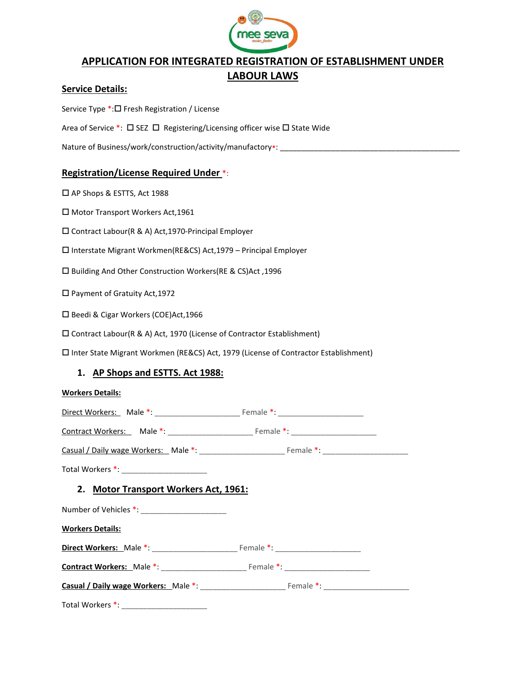

## APPLICATION FOR INTEGRATED REGISTRATION OF ESTABLISHMENT UNDER LABOUR LAWS

#### Service Details:

Service Type \*: □ Fresh Registration / License

Area of Service  $\overline{\cdot}$ :  $\Box$  SEZ  $\Box$  Registering/Licensing officer wise  $\Box$  State Wide

Nature of Business/work/construction/activity/manufactory\*: \_\_\_\_\_\_\_\_\_\_\_\_\_\_\_\_\_\_\_\_

#### Registration/License Required Under \*:

□ AP Shops & ESTTS, Act 1988

□ Motor Transport Workers Act, 1961

Contract Labour(R & A) Act,1970-Principal Employer

Interstate Migrant Workmen(RE&CS) Act,1979 – Principal Employer

Building And Other Construction Workers(RE & CS)Act ,1996

Payment of Gratuity Act,1972

□ Beedi & Cigar Workers (COE)Act, 1966

Contract Labour(R & A) Act, 1970 (License of Contractor Establishment)

Inter State Migrant Workmen (RE&CS) Act, 1979 (License of Contractor Establishment)

#### 1. AP Shops and ESTTS. Act 1988:

| <b>Workers Details:</b>               |  |
|---------------------------------------|--|
|                                       |  |
|                                       |  |
|                                       |  |
|                                       |  |
| 2. Motor Transport Workers Act, 1961: |  |
|                                       |  |
| <b>Workers Details:</b>               |  |
|                                       |  |
|                                       |  |
|                                       |  |
|                                       |  |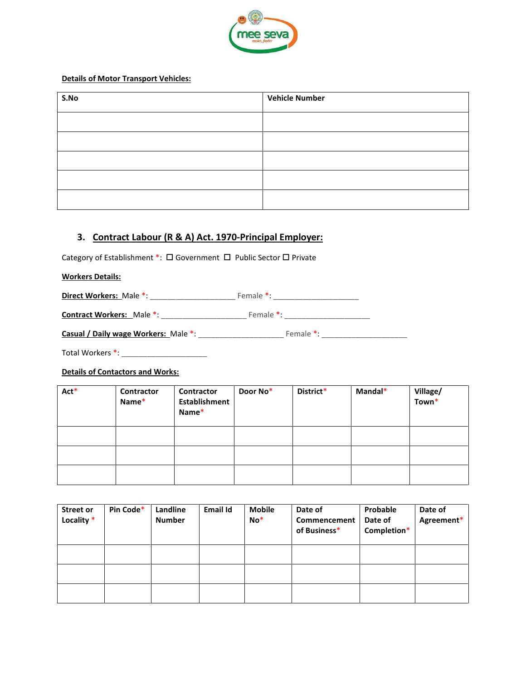

#### Details of Motor Transport Vehicles:

| S.No | <b>Vehicle Number</b> |
|------|-----------------------|
|      |                       |
|      |                       |
|      |                       |
|      |                       |
|      |                       |

## 3. Contract Labour (R & A) Act. 1970-Principal Employer:

Category of Establishment \*:  $\Box$  Government  $\Box$  Public Sector  $\Box$  Private

#### Workers Details:

Direct Workers: Male \*: \_\_\_\_\_\_\_\_\_\_\_\_\_\_\_\_\_\_\_\_ Female \*: \_\_\_\_\_\_\_\_\_\_\_\_\_\_\_\_\_\_\_\_

| <b>Contract Workers: Male *:</b> | Female *: |  |
|----------------------------------|-----------|--|
|                                  |           |  |

| Casual / Daily wage Workers: Male *:<br>Female *: |
|---------------------------------------------------|
|---------------------------------------------------|

Total Workers \*: \_\_\_\_\_\_\_\_\_\_\_\_\_\_\_\_\_\_\_\_

#### Details of Contactors and Works:

| Act* | Contractor<br>Name* | Contractor<br><b>Establishment</b><br>Name* | Door No* | District* | Mandal* | Village/<br>Town* |
|------|---------------------|---------------------------------------------|----------|-----------|---------|-------------------|
|      |                     |                                             |          |           |         |                   |
|      |                     |                                             |          |           |         |                   |
|      |                     |                                             |          |           |         |                   |

| Street or<br>Locality * | Pin Code* | Landline<br><b>Number</b> | <b>Email Id</b> | <b>Mobile</b><br>$No*$ | Date of<br>Commencement<br>of Business* | Probable<br>Date of<br>Completion* | Date of<br>Agreement* |
|-------------------------|-----------|---------------------------|-----------------|------------------------|-----------------------------------------|------------------------------------|-----------------------|
|                         |           |                           |                 |                        |                                         |                                    |                       |
|                         |           |                           |                 |                        |                                         |                                    |                       |
|                         |           |                           |                 |                        |                                         |                                    |                       |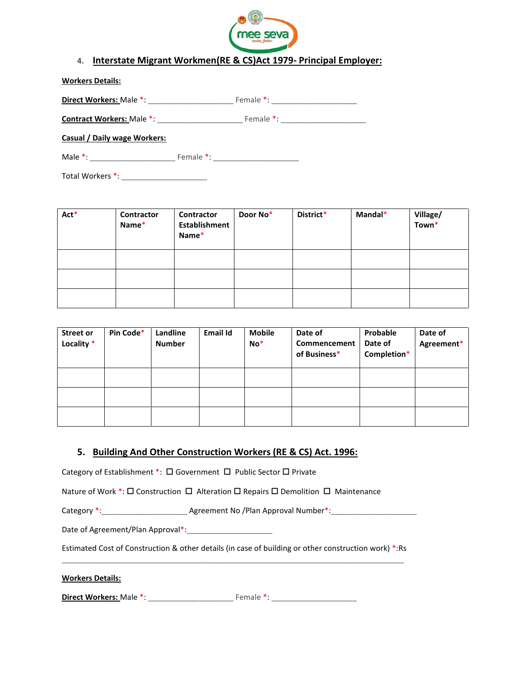

## 4. Interstate Migrant Workmen(RE & CS)Act 1979- Principal Employer:

| <b>Workers Details:</b>          |           |
|----------------------------------|-----------|
| Direct Workers: Male *:          | Female *: |
| <b>Contract Workers: Male *:</b> | Female *  |

Casual / Daily wage Workers:

Male \*: \_\_\_\_\_\_\_\_\_\_\_\_\_\_\_\_\_\_\_\_ Female \*: \_\_\_\_\_\_\_\_\_\_\_\_\_\_\_\_\_\_\_\_

Total Workers \*: \_\_\_\_\_\_\_\_\_\_\_\_\_\_\_\_\_\_\_\_

| Act* | Contractor<br>Name* | Contractor<br><b>Establishment</b><br>Name* | Door No* | District* | Mandal* | Village/<br>Town* |
|------|---------------------|---------------------------------------------|----------|-----------|---------|-------------------|
|      |                     |                                             |          |           |         |                   |
|      |                     |                                             |          |           |         |                   |
|      |                     |                                             |          |           |         |                   |

| <b>Street or</b><br>Locality * | Pin Code* | Landline<br><b>Number</b> | <b>Email Id</b> | <b>Mobile</b><br>$No*$ | Date of<br>Commencement<br>of Business* | Probable<br>Date of<br>Completion* | Date of<br>Agreement* |
|--------------------------------|-----------|---------------------------|-----------------|------------------------|-----------------------------------------|------------------------------------|-----------------------|
|                                |           |                           |                 |                        |                                         |                                    |                       |
|                                |           |                           |                 |                        |                                         |                                    |                       |
|                                |           |                           |                 |                        |                                         |                                    |                       |

## 5. Building And Other Construction Workers (RE & CS) Act. 1996:

Category of Establishment \*:  $\Box$  Government  $\Box$  Public Sector  $\Box$  Private

Nature of Work  $\overline{\cdot}$ :  $\Box$  Construction  $\Box$  Alteration  $\Box$  Repairs  $\Box$  Demolition  $\Box$  Maintenance

Category \*:\_\_\_\_\_\_\_\_\_\_\_\_\_\_\_\_\_\_\_\_ Agreement No /Plan Approval Number\*:\_\_\_\_\_\_\_\_\_\_\_\_\_\_\_\_\_\_\_\_

Date of Agreement/Plan Approval\*:\_\_\_\_\_\_\_\_\_\_\_\_\_\_\_\_\_\_\_\_

Estimated Cost of Construction & other details (in case of building or other construction work) \*:Rs \_\_\_\_\_\_\_\_\_\_\_\_\_\_\_\_\_\_\_\_\_\_\_\_\_\_\_\_\_\_\_\_\_\_\_\_\_\_\_\_\_\_\_\_\_\_\_\_\_\_\_\_\_\_\_\_\_\_\_\_\_\_\_\_\_\_\_\_\_\_\_\_\_\_\_\_\_\_\_\_

Workers Details:

Direct Workers: Male \*: \_\_\_\_\_\_\_\_\_\_\_\_\_\_\_\_\_\_\_\_ Female \*: \_\_\_\_\_\_\_\_\_\_\_\_\_\_\_\_\_\_\_\_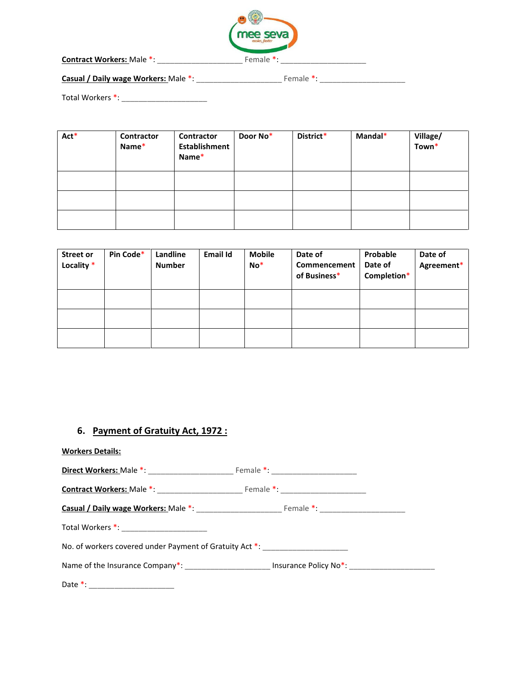

Contract Workers: Male \*: \_\_\_\_\_\_\_\_\_\_\_\_\_\_\_\_\_\_\_\_ Female \*: \_\_\_\_\_\_\_\_\_\_\_\_\_\_\_\_\_\_\_\_

Casual / Daily wage Workers: Male \*: \_\_\_\_\_\_\_\_\_\_\_\_\_\_\_\_\_\_\_\_ Female \*: \_\_\_\_\_\_\_\_\_\_\_\_\_\_\_\_\_\_\_\_

Total Workers \*: \_\_\_\_\_\_\_\_\_\_\_\_\_\_\_\_\_\_\_\_

| Act* | Contractor<br>Name* | Contractor<br><b>Establishment</b><br>Name* | Door No* | District* | Mandal* | Village/<br>Town* |
|------|---------------------|---------------------------------------------|----------|-----------|---------|-------------------|
|      |                     |                                             |          |           |         |                   |
|      |                     |                                             |          |           |         |                   |
|      |                     |                                             |          |           |         |                   |

| <b>Street or</b><br>Locality * | Pin Code* | Landline<br><b>Number</b> | <b>Email Id</b> | <b>Mobile</b><br>$No*$ | Date of<br>Commencement<br>of Business* | Probable<br>Date of<br>Completion* | Date of<br>Agreement* |
|--------------------------------|-----------|---------------------------|-----------------|------------------------|-----------------------------------------|------------------------------------|-----------------------|
|                                |           |                           |                 |                        |                                         |                                    |                       |
|                                |           |                           |                 |                        |                                         |                                    |                       |
|                                |           |                           |                 |                        |                                         |                                    |                       |

## 6. Payment of Gratuity Act, 1972 :

| <b>Workers Details:</b>                                                          |  |
|----------------------------------------------------------------------------------|--|
|                                                                                  |  |
|                                                                                  |  |
|                                                                                  |  |
|                                                                                  |  |
| No. of workers covered under Payment of Gratuity Act *: ________________________ |  |

Name of the Insurance Company\*: \_\_\_\_\_\_\_\_\_\_\_\_\_\_\_\_\_\_\_\_\_\_\_\_\_ Insurance Policy No\*: \_\_\_\_\_\_\_\_\_\_\_\_\_\_\_\_\_\_\_\_\_\_\_\_\_\_\_\_\_\_

Date \*: \_\_\_\_\_\_\_\_\_\_\_\_\_\_\_\_\_\_\_\_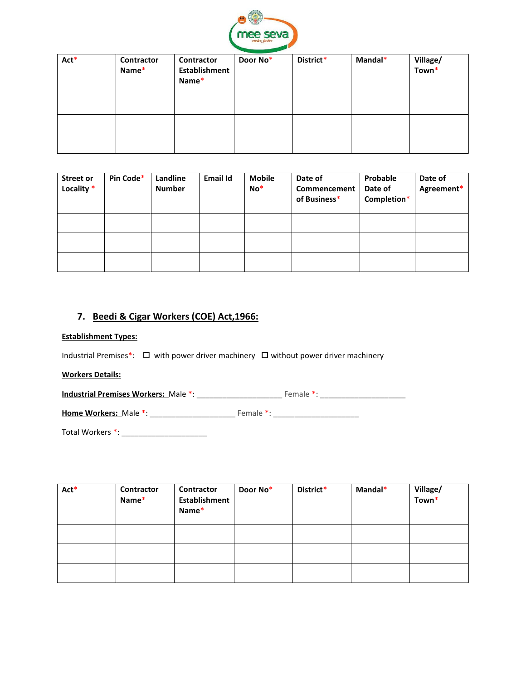

| Act* | Contractor<br>Name* | Contractor<br>Establishment<br>Name* | Door No* | District* | Mandal* | Village/<br>Town <sup>*</sup> |
|------|---------------------|--------------------------------------|----------|-----------|---------|-------------------------------|
|      |                     |                                      |          |           |         |                               |
|      |                     |                                      |          |           |         |                               |
|      |                     |                                      |          |           |         |                               |

| Street or<br>Locality * | Pin Code* | Landline<br><b>Number</b> | <b>Email Id</b> | <b>Mobile</b><br>$No*$ | Date of<br>Commencement<br>of Business* | Probable<br>Date of<br>Completion* | Date of<br>Agreement* |
|-------------------------|-----------|---------------------------|-----------------|------------------------|-----------------------------------------|------------------------------------|-----------------------|
|                         |           |                           |                 |                        |                                         |                                    |                       |
|                         |           |                           |                 |                        |                                         |                                    |                       |
|                         |           |                           |                 |                        |                                         |                                    |                       |

## 7. Beedi & Cigar Workers (COE) Act,1966:

#### Establishment Types:

Industrial Premises\*:  $\Box$  with power driver machinery  $\Box$  without power driver machinery

#### Workers Details:

Industrial Premises Workers: Male \*: \_\_\_\_\_\_\_\_\_\_\_\_\_\_\_\_\_\_\_\_ Female \*: \_\_\_\_\_\_\_\_\_\_\_\_\_\_\_\_\_\_\_\_

Home Workers: Male \*: \_\_\_\_\_\_\_\_\_\_\_\_\_\_\_\_\_\_\_\_ Female \*: \_\_\_\_\_\_\_\_\_\_\_\_\_\_\_\_\_\_\_\_

Total Workers \*: \_\_\_\_\_\_\_\_\_\_\_\_\_\_\_\_\_\_\_\_

| Act* | Contractor<br>Name* | Contractor<br>Establishment<br>Name* | Door No* | District* | Mandal* | Village/<br>Town* |
|------|---------------------|--------------------------------------|----------|-----------|---------|-------------------|
|      |                     |                                      |          |           |         |                   |
|      |                     |                                      |          |           |         |                   |
|      |                     |                                      |          |           |         |                   |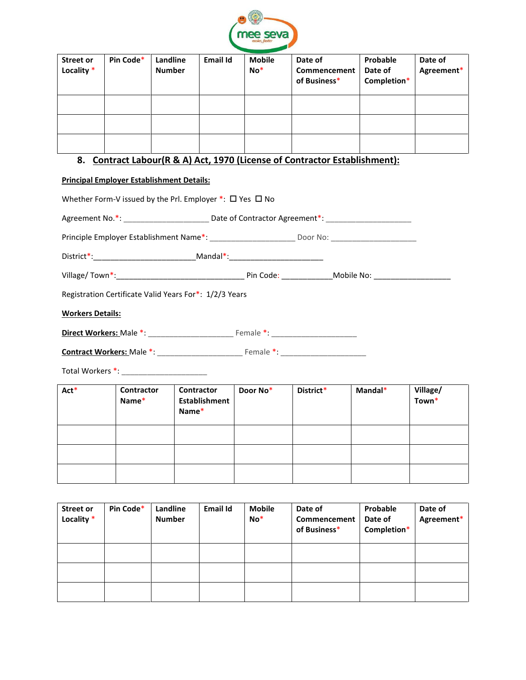

| <b>Street or</b><br>Locality * | Pin Code* | Landline<br><b>Number</b> | <b>Email Id</b> | <b>Mobile</b><br>$No*$ | Date of<br>Commencement<br>of Business* | Probable<br>Date of<br>Completion* | Date of<br>Agreement* |
|--------------------------------|-----------|---------------------------|-----------------|------------------------|-----------------------------------------|------------------------------------|-----------------------|
|                                |           |                           |                 |                        |                                         |                                    |                       |
|                                |           |                           |                 |                        |                                         |                                    |                       |
|                                |           |                           |                 |                        |                                         |                                    |                       |

# 8. Contract Labour(R & A) Act, 1970 (License of Contractor Establishment):

#### Principal Employer Establishment Details:

|                         |                            | Whether Form-V issued by the Prl. Employer $*$ : $\square$ Yes $\square$ No      |          |           |                                                                                                                |                   |
|-------------------------|----------------------------|----------------------------------------------------------------------------------|----------|-----------|----------------------------------------------------------------------------------------------------------------|-------------------|
|                         |                            |                                                                                  |          |           | Agreement No.*: ____________________________Date of Contractor Agreement*: ________________________            |                   |
|                         |                            |                                                                                  |          |           | Principle Employer Establishment Name*: _______________________________Door No: ______________________________ |                   |
|                         |                            | District*:___________________________________Mandal*:___________________________ |          |           |                                                                                                                |                   |
|                         |                            |                                                                                  |          |           |                                                                                                                |                   |
|                         |                            | Registration Certificate Valid Years For*: 1/2/3 Years                           |          |           |                                                                                                                |                   |
| <b>Workers Details:</b> |                            |                                                                                  |          |           |                                                                                                                |                   |
|                         |                            |                                                                                  |          |           |                                                                                                                |                   |
|                         |                            |                                                                                  |          |           |                                                                                                                |                   |
|                         |                            |                                                                                  |          |           |                                                                                                                |                   |
| Act*                    | <b>Contractor</b><br>Name* | Contractor<br><b>Establishment</b><br>Name*                                      | Door No* | District* | Mandal*                                                                                                        | Village/<br>Town* |
|                         |                            |                                                                                  |          |           |                                                                                                                |                   |

| <b>Street or</b><br>Locality * | Pin Code* | Landline<br><b>Number</b> | <b>Email Id</b> | <b>Mobile</b><br>$No*$ | Date of<br>Commencement<br>of Business* | Probable<br>Date of<br>Completion* | Date of<br>Agreement* |
|--------------------------------|-----------|---------------------------|-----------------|------------------------|-----------------------------------------|------------------------------------|-----------------------|
|                                |           |                           |                 |                        |                                         |                                    |                       |
|                                |           |                           |                 |                        |                                         |                                    |                       |
|                                |           |                           |                 |                        |                                         |                                    |                       |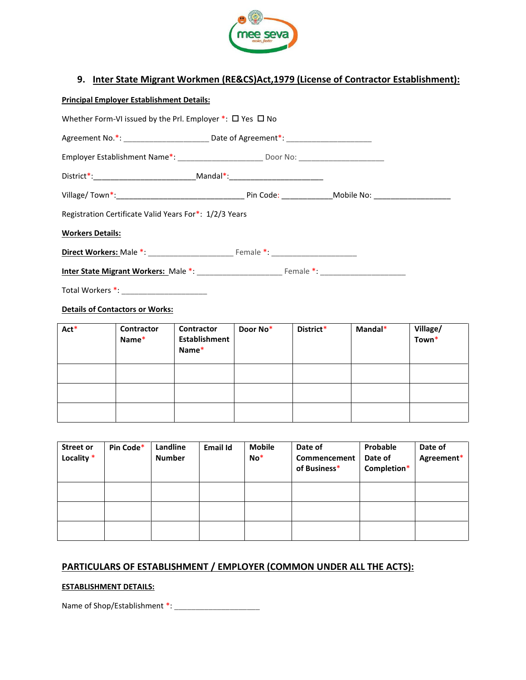

## 9. Inter State Migrant Workmen (RE&CS)Act,1979 (License of Contractor Establishment):

| <b>Principal Employer Establishment Details:</b> |  |
|--------------------------------------------------|--|
|                                                  |  |

|                         |                                        | Whether Form-VI issued by the PrI. Employer $*$ : $\square$ Yes $\square$ No |          |           |         |                   |
|-------------------------|----------------------------------------|------------------------------------------------------------------------------|----------|-----------|---------|-------------------|
|                         |                                        |                                                                              |          |           |         |                   |
|                         |                                        |                                                                              |          |           |         |                   |
|                         |                                        |                                                                              |          |           |         |                   |
|                         |                                        |                                                                              |          |           |         |                   |
|                         |                                        | Registration Certificate Valid Years For*: 1/2/3 Years                       |          |           |         |                   |
| <b>Workers Details:</b> |                                        |                                                                              |          |           |         |                   |
|                         |                                        |                                                                              |          |           |         |                   |
|                         |                                        |                                                                              |          |           |         |                   |
|                         |                                        |                                                                              |          |           |         |                   |
|                         | <b>Details of Contactors or Works:</b> |                                                                              |          |           |         |                   |
| $Act^*$                 | <b>Contractor</b><br>Name*             | <b>Contractor</b><br><b>Establishment</b><br>Name*                           | Door No* | District* | Mandal* | Village/<br>Town* |

|  | <b>TAGILIC</b> |  |  |
|--|----------------|--|--|
|  |                |  |  |
|  |                |  |  |
|  |                |  |  |

| <b>Street or</b><br>Locality * | Pin Code* | Landline<br><b>Number</b> | <b>Email Id</b> | <b>Mobile</b><br>$No*$ | Date of<br>Commencement<br>of Business* | Probable<br>Date of<br>Completion* | Date of<br>Agreement* |
|--------------------------------|-----------|---------------------------|-----------------|------------------------|-----------------------------------------|------------------------------------|-----------------------|
|                                |           |                           |                 |                        |                                         |                                    |                       |
|                                |           |                           |                 |                        |                                         |                                    |                       |
|                                |           |                           |                 |                        |                                         |                                    |                       |

## PARTICULARS OF ESTABLISHMENT / EMPLOYER (COMMON UNDER ALL THE ACTS):

## ESTABLISHMENT DETAILS:

Name of Shop/Establishment \*: \_\_\_\_\_\_\_\_\_\_\_\_\_\_\_\_\_\_\_\_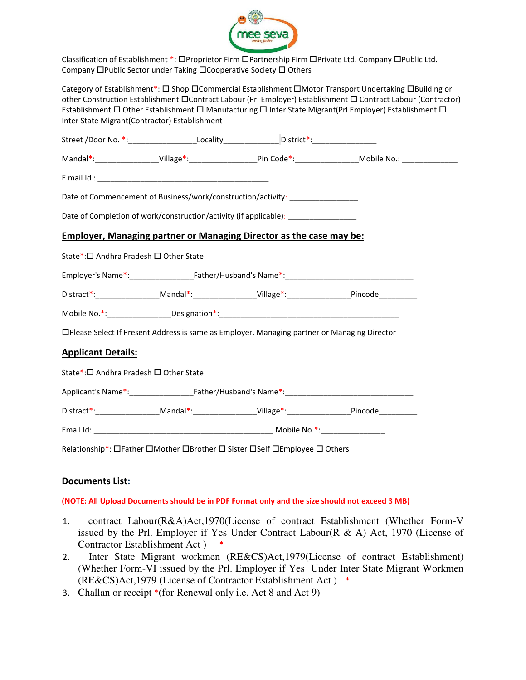

Classification of Establishment \*: OProprietor Firm OPartnership Firm OPrivate Ltd. Company OPublic Ltd. Company **OPublic Sector under Taking OCooperative Society O Others** 

Category of Establishment\*:  $\Box$  Shop  $\Box$ Commercial Establishment  $\Box$ Motor Transport Undertaking  $\Box$ Building or other Construction Establishment Contract Labour (Prl Employer) Establishment C Contract Labour (Contractor) Establishment  $\Box$  Other Establishment  $\Box$  Manufacturing  $\Box$  Inter State Migrant(Prl Employer) Establishment  $\Box$ Inter State Migrant(Contractor) Establishment

|                                                                    | Street /Door No. *:______________________Locality________________District*:________________________ |                                                                                                     |                                                                                                                                        |
|--------------------------------------------------------------------|-----------------------------------------------------------------------------------------------------|-----------------------------------------------------------------------------------------------------|----------------------------------------------------------------------------------------------------------------------------------------|
|                                                                    |                                                                                                     |                                                                                                     | Mandal*:____________________Village*:_______________________Pin Code*:______________________________Mobile No.:_______________________ |
|                                                                    |                                                                                                     |                                                                                                     |                                                                                                                                        |
|                                                                    |                                                                                                     | Date of Commencement of Business/work/construction/activity: ___________________                    |                                                                                                                                        |
|                                                                    |                                                                                                     | Date of Completion of work/construction/activity (if applicable): ______________                    |                                                                                                                                        |
|                                                                    |                                                                                                     | <b>Employer, Managing partner or Managing Director as the case may be:</b>                          |                                                                                                                                        |
| State*:□ Andhra Pradesh □ Other State                              |                                                                                                     |                                                                                                     |                                                                                                                                        |
|                                                                    |                                                                                                     |                                                                                                     |                                                                                                                                        |
|                                                                    |                                                                                                     | Distract*:__________________Mandal*:___________________Village*:_________________Pincode___________ |                                                                                                                                        |
|                                                                    |                                                                                                     |                                                                                                     |                                                                                                                                        |
|                                                                    |                                                                                                     |                                                                                                     |                                                                                                                                        |
|                                                                    |                                                                                                     | □Please Select If Present Address is same as Employer, Managing partner or Managing Director        |                                                                                                                                        |
|                                                                    |                                                                                                     |                                                                                                     |                                                                                                                                        |
| <b>Applicant Details:</b><br>State*:□ Andhra Pradesh □ Other State |                                                                                                     |                                                                                                     |                                                                                                                                        |
|                                                                    |                                                                                                     |                                                                                                     |                                                                                                                                        |
|                                                                    |                                                                                                     | Distract*:__________________Mandal*:___________________Village*:________________Pincode____________ |                                                                                                                                        |

## Documents List:

#### (NOTE: All Upload Documents should be in PDF Format only and the size should not exceed 3 MB)

- 1. contract Labour(R&A)Act,1970(License of contract Establishment (Whether Form-V issued by the Prl. Employer if Yes Under Contract Labour(R & A) Act, 1970 (License of Contractor Establishment Act ) \*
- 2. Inter State Migrant workmen (RE&CS)Act,1979(License of contract Establishment) (Whether Form-VI issued by the Prl. Employer if Yes Under Inter State Migrant Workmen (RE&CS)Act,1979 (License of Contractor Establishment Act ) \*
- 3. Challan or receipt \*(for Renewal only i.e. Act 8 and Act 9)